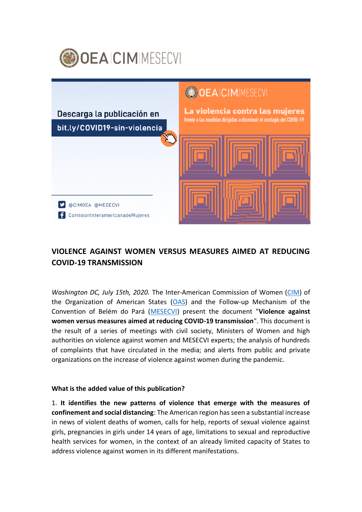



## **VIOLENCE AGAINST WOMEN VERSUS MEASURES AIMED AT REDUCING COVID-19 TRANSMISSION**

*Washington DC, July 15th, 2020.* The Inter-American Commission of Women [\(CIM\)](http://www.oas.org/es/CIM/default.asp) of the Organization of American States [\(OAS\)](http://www.oas.org/es/) and the Follow-up Mechanism of the Convention of Belém do Pará [\(MESECVI\)](http://www.oas.org/es/mesecvi/nosotros.asp) present the document "**Violence against women versus measures aimed at reducing COVID-19 transmission**". This document is the result of a series of meetings with civil society, Ministers of Women and high authorities on violence against women and MESECVI experts; the analysis of hundreds of complaints that have circulated in the media; and alerts from public and private organizations on the increase of violence against women during the pandemic.

## **What is the added value of this publication?**

1. **It identifies the new patterns of violence that emerge with the measures of confinement and social distancing**: The American region has seen a substantial increase in news of violent deaths of women, calls for help, reports of sexual violence against girls, pregnancies in girls under 14 years of age, limitations to sexual and reproductive health services for women, in the context of an already limited capacity of States to address violence against women in its different manifestations.